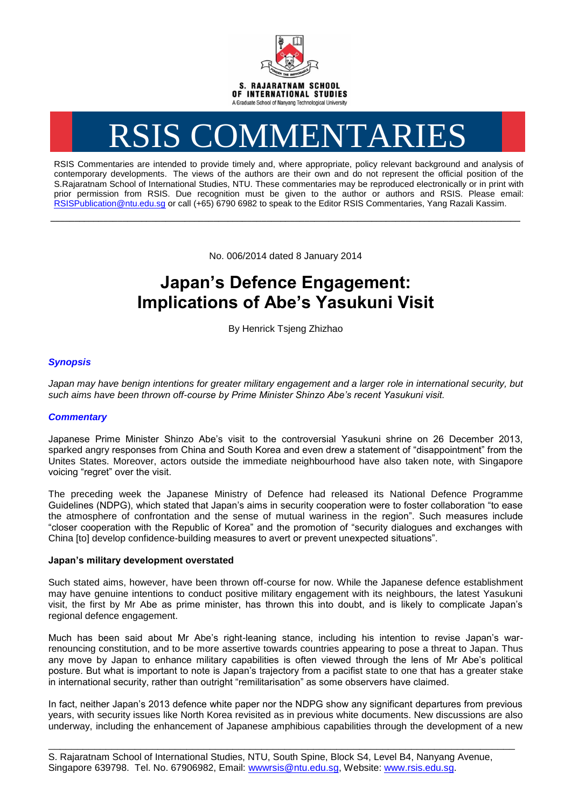

# RSIS COMMENTARIES

RSIS Commentaries are intended to provide timely and, where appropriate, policy relevant background and analysis of contemporary developments. The views of the authors are their own and do not represent the official position of the S.Rajaratnam School of International Studies, NTU. These commentaries may be reproduced electronically or in print with prior permission from RSIS. Due recognition must be given to the author or authors and RSIS. Please email: [RSISPublication@ntu.edu.sg](mailto:RSISPublication@ntu.edu.sg) or call (+65) 6790 6982 to speak to the Editor RSIS Commentaries, Yang Razali Kassim.

No. 006/2014 dated 8 January 2014

**\_\_\_\_\_\_\_\_\_\_\_\_\_\_\_\_\_\_\_\_\_\_\_\_\_\_\_\_\_\_\_\_\_\_\_\_\_\_\_\_\_\_\_\_\_\_\_\_\_\_\_\_\_\_\_\_\_\_\_\_\_\_\_\_\_\_\_\_\_\_\_\_\_\_\_\_\_\_\_\_\_\_\_\_\_\_\_\_\_\_\_\_\_\_\_\_\_\_**

# **Japan's Defence Engagement: Implications of Abe's Yasukuni Visit**

By Henrick Tsjeng Zhizhao

# *Synopsis*

Japan may have benign intentions for greater military engagement and a larger role in international security, but *such aims have been thrown off-course by Prime Minister Shinzo Abe's recent Yasukuni visit.*

## *Commentary*

Japanese Prime Minister Shinzo Abe's visit to the controversial Yasukuni shrine on 26 December 2013, sparked angry responses from China and South Korea and even drew a statement of "disappointment" from the Unites States. Moreover, actors outside the immediate neighbourhood have also taken note, with Singapore voicing "regret" over the visit.

The preceding week the Japanese Ministry of Defence had released its National Defence Programme Guidelines (NDPG), which stated that Japan's aims in security cooperation were to foster collaboration "to ease the atmosphere of confrontation and the sense of mutual wariness in the region". Such measures include "closer cooperation with the Republic of Korea" and the promotion of "security dialogues and exchanges with China [to] develop confidence-building measures to avert or prevent unexpected situations".

### **Japan's military development overstated**

Such stated aims, however, have been thrown off-course for now. While the Japanese defence establishment may have genuine intentions to conduct positive military engagement with its neighbours, the latest Yasukuni visit, the first by Mr Abe as prime minister, has thrown this into doubt, and is likely to complicate Japan's regional defence engagement.

Much has been said about Mr Abe's right-leaning stance, including his intention to revise Japan's warrenouncing constitution, and to be more assertive towards countries appearing to pose a threat to Japan. Thus any move by Japan to enhance military capabilities is often viewed through the lens of Mr Abe's political posture. But what is important to note is Japan's trajectory from a pacifist state to one that has a greater stake in international security, rather than outright "remilitarisation" as some observers have claimed.

In fact, neither Japan's 2013 defence white paper nor the NDPG show any significant departures from previous years, with security issues like North Korea revisited as in previous white documents. New discussions are also underway, including the enhancement of Japanese amphibious capabilities through the development of a new

\_\_\_\_\_\_\_\_\_\_\_\_\_\_\_\_\_\_\_\_\_\_\_\_\_\_\_\_\_\_\_\_\_\_\_\_\_\_\_\_\_\_\_\_\_\_\_\_\_\_\_\_\_\_\_\_\_\_\_\_\_\_\_\_\_\_\_\_\_\_\_\_\_\_\_\_\_\_\_\_\_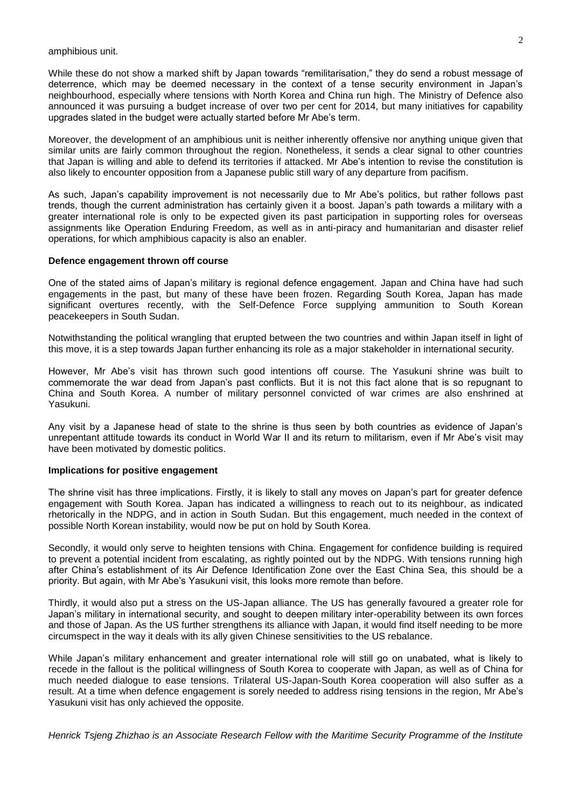amphibious unit.

While these do not show a marked shift by Japan towards "remilitarisation," they do send a robust message of deterrence, which may be deemed necessary in the context of a tense security environment in Japan's neighbourhood, especially where tensions with North Korea and China run high. The Ministry of Defence also announced it was pursuing a budget increase of over two per cent for 2014, but many initiatives for capability upgrades slated in the budget were actually started before Mr Abe's term.

Moreover, the development of an amphibious unit is neither inherently offensive nor anything unique given that similar units are fairly common throughout the region. Nonetheless, it sends a clear signal to other countries that Japan is willing and able to defend its territories if attacked. Mr Abe's intention to revise the constitution is also likely to encounter opposition from a Japanese public still wary of any departure from pacifism.

As such, Japan's capability improvement is not necessarily due to Mr Abe's politics, but rather follows past trends, though the current administration has certainly given it a boost. Japan's path towards a military with a greater international role is only to be expected given its past participation in supporting roles for overseas assignments like Operation Enduring Freedom, as well as in anti-piracy and humanitarian and disaster relief operations, for which amphibious capacity is also an enabler.

#### **Defence engagement thrown off course**

One of the stated aims of Japan's military is regional defence engagement. Japan and China have had such engagements in the past, but many of these have been frozen. Regarding South Korea, Japan has made significant overtures recently, with the Self-Defence Force supplying ammunition to South Korean peacekeepers in South Sudan.

Notwithstanding the political wrangling that erupted between the two countries and within Japan itself in light of this move, it is a step towards Japan further enhancing its role as a major stakeholder in international security.

However, Mr Abe's visit has thrown such good intentions off course. The Yasukuni shrine was built to commemorate the war dead from Japan's past conflicts. But it is not this fact alone that is so repugnant to China and South Korea. A number of military personnel convicted of war crimes are also enshrined at Yasukuni.

Any visit by a Japanese head of state to the shrine is thus seen by both countries as evidence of Japan's unrepentant attitude towards its conduct in World War II and its return to militarism, even if Mr Abe's visit may have been motivated by domestic politics.

#### **Implications for positive engagement**

The shrine visit has three implications. Firstly, it is likely to stall any moves on Japan's part for greater defence engagement with South Korea. Japan has indicated a willingness to reach out to its neighbour, as indicated rhetorically in the NDPG, and in action in South Sudan. But this engagement, much needed in the context of possible North Korean instability, would now be put on hold by South Korea.

Secondly, it would only serve to heighten tensions with China. Engagement for confidence building is required to prevent a potential incident from escalating, as rightly pointed out by the NDPG. With tensions running high after China's establishment of its Air Defence Identification Zone over the East China Sea, this should be a priority. But again, with Mr Abe's Yasukuni visit, this looks more remote than before.

Thirdly, it would also put a stress on the US-Japan alliance. The US has generally favoured a greater role for Japan's military in international security, and sought to deepen military inter-operability between its own forces and those of Japan. As the US further strengthens its alliance with Japan, it would find itself needing to be more circumspect in the way it deals with its ally given Chinese sensitivities to the US rebalance.

While Japan's military enhancement and greater international role will still go on unabated, what is likely to recede in the fallout is the political willingness of South Korea to cooperate with Japan, as well as of China for much needed dialogue to ease tensions. Trilateral US-Japan-South Korea cooperation will also suffer as a result. At a time when defence engagement is sorely needed to address rising tensions in the region, Mr Abe's Yasukuni visit has only achieved the opposite.

*Henrick Tsjeng Zhizhao is an Associate Research Fellow with the Maritime Security Programme of the Institute*